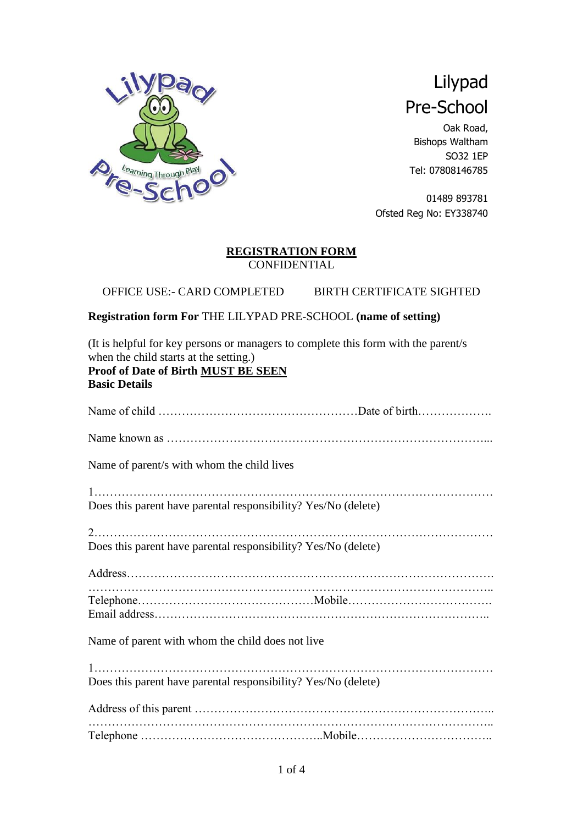

# Lilypad Pre-School

Oak Road, Bishops Waltham SO32 1EP Tel: 07808146785

01489 893781 Ofsted Reg No: EY338740

#### **REGISTRATION FORM CONFIDENTIAL**

OFFICE USE:- CARD COMPLETED BIRTH CERTIFICATE SIGHTED

### **Registration form For** THE LILYPAD PRE-SCHOOL **(name of setting)**

(It is helpful for key persons or managers to complete this form with the parent/s when the child starts at the setting.) **Proof of Date of Birth MUST BE SEEN**

#### **Basic Details**

| Name of parent/s with whom the child lives                     |
|----------------------------------------------------------------|
|                                                                |
| Does this parent have parental responsibility? Yes/No (delete) |
| Does this parent have parental responsibility? Yes/No (delete) |
|                                                                |
|                                                                |
| Name of parent with whom the child does not live               |
|                                                                |
| Does this parent have parental responsibility? Yes/No (delete) |
|                                                                |
|                                                                |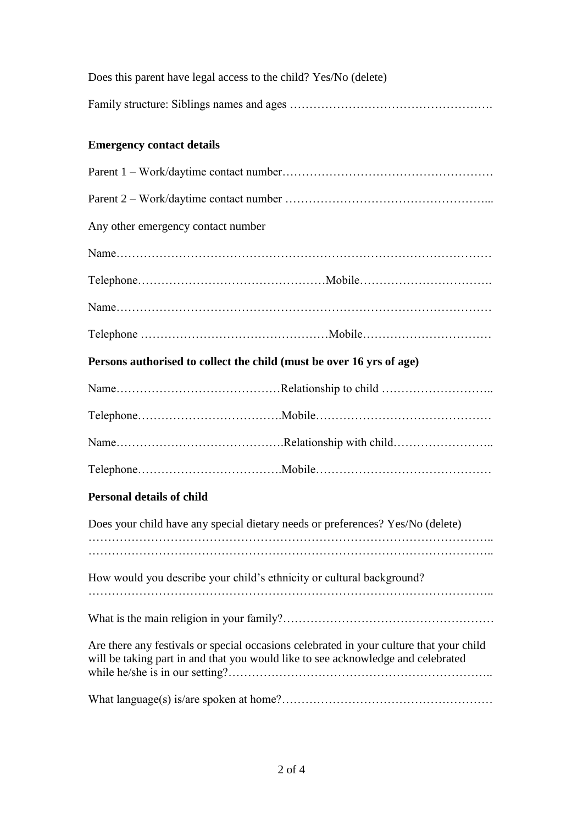| Does this parent have legal access to the child? Yes/No (delete) |
|------------------------------------------------------------------|
|                                                                  |

# **Emergency contact details**

| Any other emergency contact number |                                                                                                                                                                             |
|------------------------------------|-----------------------------------------------------------------------------------------------------------------------------------------------------------------------------|
|                                    |                                                                                                                                                                             |
|                                    |                                                                                                                                                                             |
|                                    |                                                                                                                                                                             |
|                                    |                                                                                                                                                                             |
|                                    | Persons authorised to collect the child (must be over 16 yrs of age)                                                                                                        |
|                                    |                                                                                                                                                                             |
|                                    |                                                                                                                                                                             |
|                                    |                                                                                                                                                                             |
|                                    |                                                                                                                                                                             |
| <b>Personal details of child</b>   |                                                                                                                                                                             |
|                                    | Does your child have any special dietary needs or preferences? Yes/No (delete)                                                                                              |
|                                    | How would you describe your child's ethnicity or cultural background?                                                                                                       |
|                                    |                                                                                                                                                                             |
|                                    | Are there any festivals or special occasions celebrated in your culture that your child<br>will be taking part in and that you would like to see acknowledge and celebrated |
|                                    |                                                                                                                                                                             |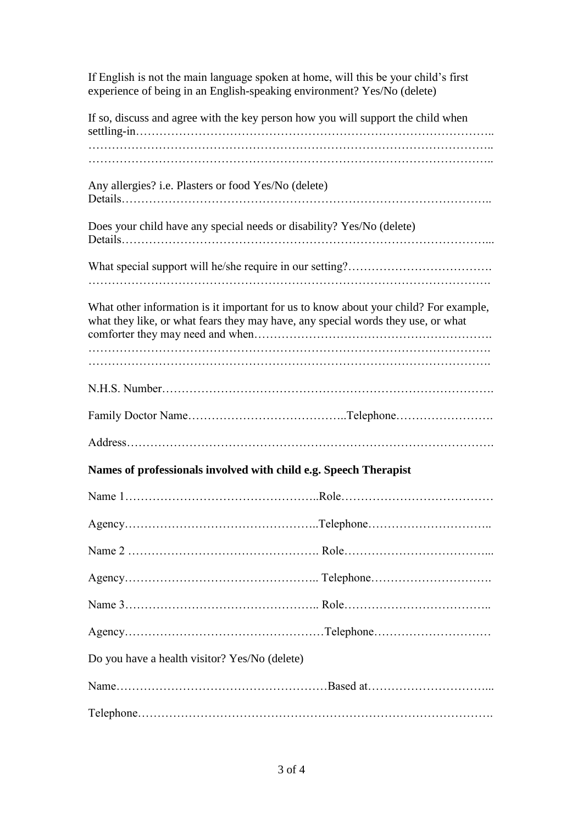If English is not the main language spoken at home, will this be your child's first experience of being in an English-speaking environment? Yes/No (delete)

|                                                      | If so, discuss and agree with the key person how you will support the child when                                                                                         |
|------------------------------------------------------|--------------------------------------------------------------------------------------------------------------------------------------------------------------------------|
| Any allergies? i.e. Plasters or food Yes/No (delete) |                                                                                                                                                                          |
|                                                      | Does your child have any special needs or disability? Yes/No (delete)                                                                                                    |
|                                                      |                                                                                                                                                                          |
|                                                      | What other information is it important for us to know about your child? For example,<br>what they like, or what fears they may have, any special words they use, or what |
|                                                      |                                                                                                                                                                          |
|                                                      |                                                                                                                                                                          |
|                                                      |                                                                                                                                                                          |
|                                                      | Names of professionals involved with child e.g. Speech Therapist                                                                                                         |
|                                                      |                                                                                                                                                                          |
|                                                      |                                                                                                                                                                          |
|                                                      |                                                                                                                                                                          |
|                                                      |                                                                                                                                                                          |
|                                                      |                                                                                                                                                                          |
|                                                      |                                                                                                                                                                          |
| Do you have a health visitor? Yes/No (delete)        |                                                                                                                                                                          |
|                                                      |                                                                                                                                                                          |
|                                                      |                                                                                                                                                                          |